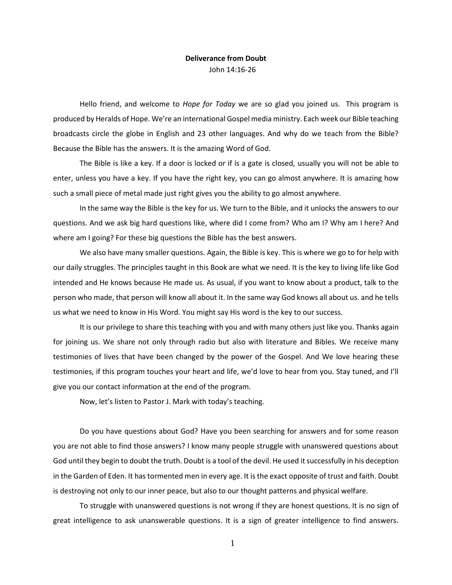## **Deliverance from Doubt** John 14:16-26

Hello friend, and welcome to *Hope for Today* we are so glad you joined us. This program is produced by Heralds of Hope. We're an international Gospel media ministry. Each week our Bible teaching broadcasts circle the globe in English and 23 other languages. And why do we teach from the Bible? Because the Bible has the answers. It is the amazing Word of God.

The Bible is like a key. If a door is locked or if is a gate is closed, usually you will not be able to enter, unless you have a key. If you have the right key, you can go almost anywhere. It is amazing how such a small piece of metal made just right gives you the ability to go almost anywhere.

In the same way the Bible is the key for us. We turn to the Bible, and it unlocks the answers to our questions. And we ask big hard questions like, where did I come from? Who am I? Why am I here? And where am I going? For these big questions the Bible has the best answers.

We also have many smaller questions. Again, the Bible is key. This is where we go to for help with our daily struggles. The principles taught in this Book are what we need. It is the key to living life like God intended and He knows because He made us. As usual, if you want to know about a product, talk to the person who made, that person will know all about it. In the same way God knows all about us. and he tells us what we need to know in His Word. You might say His word is the key to our success.

It is our privilege to share this teaching with you and with many others just like you. Thanks again for joining us. We share not only through radio but also with literature and Bibles. We receive many testimonies of lives that have been changed by the power of the Gospel. And We love hearing these testimonies, if this program touches your heart and life, we'd love to hear from you. Stay tuned, and I'll give you our contact information at the end of the program.

Now, let's listen to Pastor J. Mark with today's teaching.

Do you have questions about God? Have you been searching for answers and for some reason you are not able to find those answers? I know many people struggle with unanswered questions about God until they begin to doubt the truth. Doubt is a tool of the devil. He used it successfully in his deception in the Garden of Eden. It has tormented men in every age. It is the exact opposite of trust and faith. Doubt is destroying not only to our inner peace, but also to our thought patterns and physical welfare.

To struggle with unanswered questions is not wrong if they are honest questions. It is no sign of great intelligence to ask unanswerable questions. It is a sign of greater intelligence to find answers.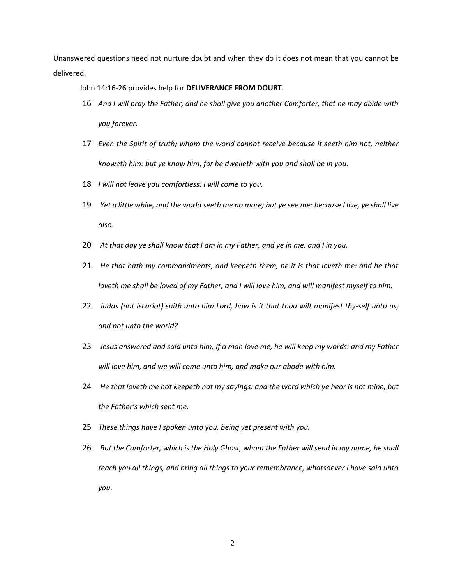Unanswered questions need not nurture doubt and when they do it does not mean that you cannot be delivered.

John 14:16-26 provides help for **DELIVERANCE FROM DOUBT**.

- 16 *And I will pray the Father, and he shall give you another Comforter, that he may abide with you forever.*
- 17 *Even the Spirit of truth; whom the world cannot receive because it seeth him not, neither knoweth him: but ye know him; for he dwelleth with you and shall be in you.*
- 18 *I will not leave you comfortless: I will come to you.*
- 19 *Yet a little while, and the world seeth me no more; but ye see me: because I live, ye shall live also.*
- 20 *At that day ye shall know that I am in my Father, and ye in me, and I in you.*
- 21 *He that hath my commandments, and keepeth them, he it is that loveth me: and he that loveth me shall be loved of my Father, and I will love him, and will manifest myself to him.*
- 22 *Judas (not Iscariot) saith unto him Lord, how is it that thou wilt manifest thy-self unto us, and not unto the world?*
- 23 *Jesus answered and said unto him, If a man love me, he will keep my words: and my Father will love him, and we will come unto him, and make our abode with him.*
- 24 *He that loveth me not keepeth not my sayings: and the word which ye hear is not mine, but the Father's which sent me.*
- 25 *These things have I spoken unto you, being yet present with you.*
- 26 *But the Comforter, which is the Holy Ghost, whom the Father will send in my name, he shall teach you all things, and bring all things to your remembrance, whatsoever I have said unto you*.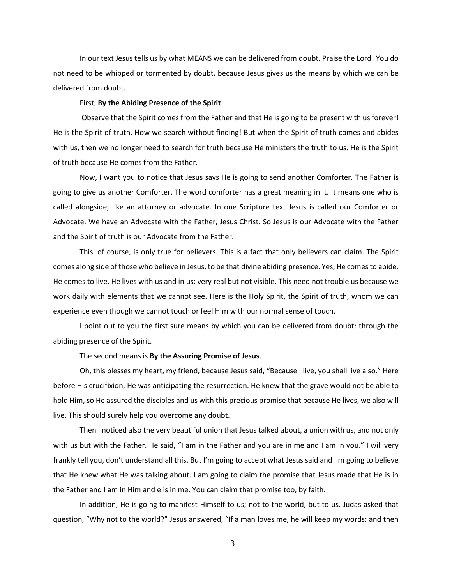In our text Jesus tells us by what MEANS we can be delivered from doubt. Praise the Lord! You do not need to be whipped or tormented by doubt, because Jesus gives us the means by which we can be delivered from doubt.

## First, **By the Abiding Presence of the Spirit**.

Observe that the Spirit comes from the Father and that He is going to be present with us forever! He is the Spirit of truth. How we search without finding! But when the Spirit of truth comes and abides with us, then we no longer need to search for truth because He ministers the truth to us. He is the Spirit of truth because He comes from the Father.

Now, I want you to notice that Jesus says He is going to send another Comforter. The Father is going to give us another Comforter. The word comforter has a great meaning in it. It means one who is called alongside, like an attorney or advocate. In one Scripture text Jesus is called our Comforter or Advocate. We have an Advocate with the Father, Jesus Christ. So Jesus is our Advocate with the Father and the Spirit of truth is our Advocate from the Father.

This, of course, is only true for believers. This is a fact that only believers can claim. The Spirit comes along side of those who believe in Jesus, to be that divine abiding presence. Yes, He comes to abide. He comes to live. He lives with us and in us: very real but not visible. This need not trouble us because we work daily with elements that we cannot see. Here is the Holy Spirit, the Spirit of truth, whom we can experience even though we cannot touch or feel Him with our normal sense of touch.

I point out to you the first sure means by which you can be delivered from doubt: through the abiding presence of the Spirit.

The second means is **By the Assuring Promise of Jesus**.

Oh, this blesses my heart, my friend, because Jesus said, "Because I live, you shall live also." Here before His crucifixion, He was anticipating the resurrection. He knew that the grave would not be able to hold Him, so He assured the disciples and us with this precious promise that because He lives, we also will live. This should surely help you overcome any doubt.

Then I noticed also the very beautiful union that Jesus talked about, a union with us, and not only with us but with the Father. He said, "I am in the Father and you are in me and I am in you." I will very frankly tell you, don't understand all this. But I'm going to accept what Jesus said and I'm going to believe that He knew what He was talking about. I am going to claim the promise that Jesus made that He is in the Father and I am in Him and e is in me. You can claim that promise too, by faith.

In addition, He is going to manifest Himself to us; not to the world, but to us. Judas asked that question, "Why not to the world?" Jesus answered, "If a man loves me, he will keep my words: and then

3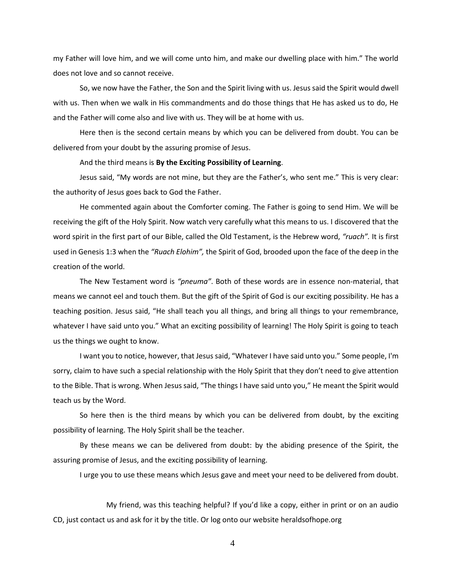my Father will love him, and we will come unto him, and make our dwelling place with him." The world does not love and so cannot receive.

So, we now have the Father, the Son and the Spirit living with us. Jesus said the Spirit would dwell with us. Then when we walk in His commandments and do those things that He has asked us to do, He and the Father will come also and live with us. They will be at home with us.

Here then is the second certain means by which you can be delivered from doubt. You can be delivered from your doubt by the assuring promise of Jesus.

## And the third means is **By the Exciting Possibility of Learning**.

Jesus said, "My words are not mine, but they are the Father's, who sent me." This is very clear: the authority of Jesus goes back to God the Father.

He commented again about the Comforter coming. The Father is going to send Him. We will be receiving the gift of the Holy Spirit. Now watch very carefully what this means to us. I discovered that the word spirit in the first part of our Bible, called the Old Testament, is the Hebrew word, *"ruach".* It is first used in Genesis 1:3 when the *"Ruach Elohim",* the Spirit of God, brooded upon the face of the deep in the creation of the world.

The New Testament word is *"pneuma"*. Both of these words are in essence non-material, that means we cannot eel and touch them. But the gift of the Spirit of God is our exciting possibility. He has a teaching position. Jesus said, "He shall teach you all things, and bring all things to your remembrance, whatever I have said unto you." What an exciting possibility of learning! The Holy Spirit is going to teach us the things we ought to know.

I want you to notice, however, that Jesus said, "Whatever I have said unto you." Some people, I'm sorry, claim to have such a special relationship with the Holy Spirit that they don't need to give attention to the Bible. That is wrong. When Jesus said, "The things I have said unto you," He meant the Spirit would teach us by the Word.

So here then is the third means by which you can be delivered from doubt, by the exciting possibility of learning. The Holy Spirit shall be the teacher.

By these means we can be delivered from doubt: by the abiding presence of the Spirit, the assuring promise of Jesus, and the exciting possibility of learning.

I urge you to use these means which Jesus gave and meet your need to be delivered from doubt.

My friend, was this teaching helpful? If you'd like a copy, either in print or on an audio CD, just contact us and ask for it by the title. Or log onto our website heraldsofhope.org

4